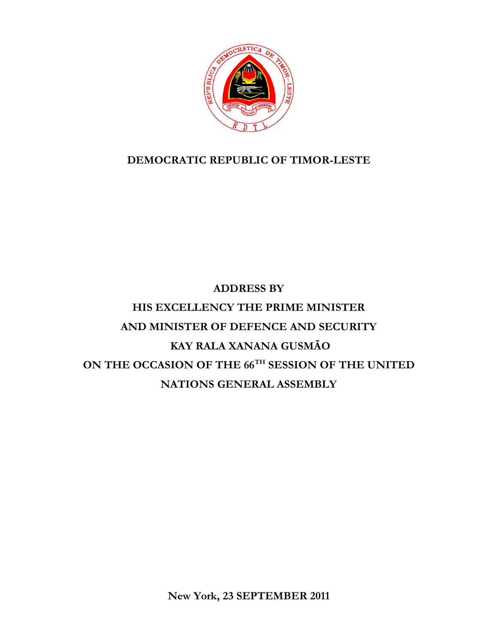

## **DEMOCRATIC REPUBLIC OF TIMOR-LESTE**

## **ADDRESS BY HIS EXCELLENCY THE PRIME MINISTER AND MINISTER OF DEFENCE AND SECURITY KAY RALA XANANA GUSMÃO ON THE OCCASION OF THE 66TH SESSION OF THE UNITED NATIONS GENERAL ASSEMBLY**

**New York, 23 SEPTEMBER 2011**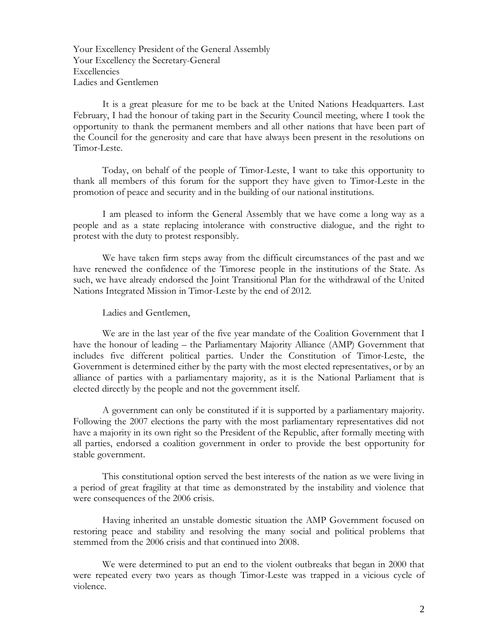Your Excellency President of the General Assembly Your Excellency the Secretary-General Excellencies Ladies and Gentlemen

It is a great pleasure for me to be back at the United Nations Headquarters. Last February, I had the honour of taking part in the Security Council meeting, where I took the opportunity to thank the permanent members and all other nations that have been part of the Council for the generosity and care that have always been present in the resolutions on Timor-Leste.

Today, on behalf of the people of Timor-Leste, I want to take this opportunity to thank all members of this forum for the support they have given to Timor-Leste in the promotion of peace and security and in the building of our national institutions.

I am pleased to inform the General Assembly that we have come a long way as a people and as a state replacing intolerance with constructive dialogue, and the right to protest with the duty to protest responsibly.

We have taken firm steps away from the difficult circumstances of the past and we have renewed the confidence of the Timorese people in the institutions of the State. As such, we have already endorsed the Joint Transitional Plan for the withdrawal of the United Nations Integrated Mission in Timor-Leste by the end of 2012.

Ladies and Gentlemen,

We are in the last year of the five year mandate of the Coalition Government that I have the honour of leading – the Parliamentary Majority Alliance (AMP) Government that includes five different political parties. Under the Constitution of Timor-Leste, the Government is determined either by the party with the most elected representatives, or by an alliance of parties with a parliamentary majority, as it is the National Parliament that is elected directly by the people and not the government itself.

A government can only be constituted if it is supported by a parliamentary majority. Following the 2007 elections the party with the most parliamentary representatives did not have a majority in its own right so the President of the Republic, after formally meeting with all parties, endorsed a coalition government in order to provide the best opportunity for stable government.

This constitutional option served the best interests of the nation as we were living in a period of great fragility at that time as demonstrated by the instability and violence that were consequences of the 2006 crisis.

 Having inherited an unstable domestic situation the AMP Government focused on restoring peace and stability and resolving the many social and political problems that stemmed from the 2006 crisis and that continued into 2008.

We were determined to put an end to the violent outbreaks that began in 2000 that were repeated every two years as though Timor-Leste was trapped in a vicious cycle of violence.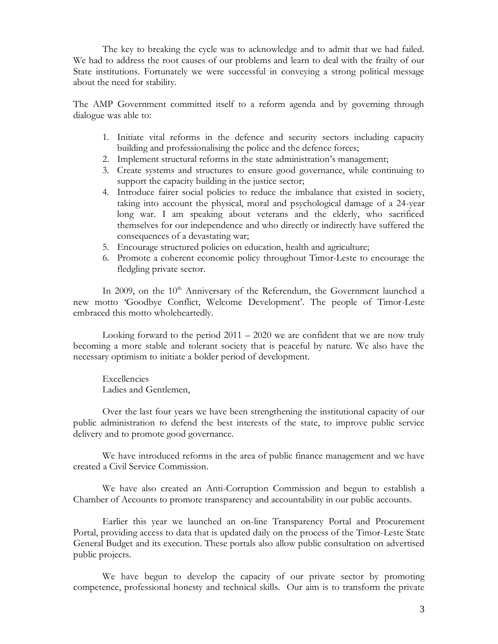The key to breaking the cycle was to acknowledge and to admit that we had failed. We had to address the root causes of our problems and learn to deal with the frailty of our State institutions. Fortunately we were successful in conveying a strong political message about the need for stability.

The AMP Government committed itself to a reform agenda and by governing through dialogue was able to:

- 1. Initiate vital reforms in the defence and security sectors including capacity building and professionalising the police and the defence forces;
- 2. Implement structural reforms in the state administration's management;
- 3. Create systems and structures to ensure good governance, while continuing to support the capacity building in the justice sector;
- 4. Introduce fairer social policies to reduce the imbalance that existed in society, taking into account the physical, moral and psychological damage of a 24-year long war. I am speaking about veterans and the elderly, who sacrificed themselves for our independence and who directly or indirectly have suffered the consequences of a devastating war;
- 5. Encourage structured policies on education, health and agriculture;
- 6. Promote a coherent economic policy throughout Timor-Leste to encourage the fledgling private sector.

In 2009, on the  $10<sup>th</sup>$  Anniversary of the Referendum, the Government launched a new motto 'Goodbye Conflict, Welcome Development'. The people of Timor-Leste embraced this motto wholeheartedly.

Looking forward to the period  $2011 - 2020$  we are confident that we are now truly becoming a more stable and tolerant society that is peaceful by nature. We also have the necessary optimism to initiate a bolder period of development.

Excellencies Ladies and Gentlemen,

Over the last four years we have been strengthening the institutional capacity of our public administration to defend the best interests of the state, to improve public service delivery and to promote good governance.

We have introduced reforms in the area of public finance management and we have created a Civil Service Commission.

We have also created an Anti-Corruption Commission and begun to establish a Chamber of Accounts to promote transparency and accountability in our public accounts.

Earlier this year we launched an on-line Transparency Portal and Procurement Portal, providing access to data that is updated daily on the process of the Timor-Leste State General Budget and its execution. These portals also allow public consultation on advertised public projects.

We have begun to develop the capacity of our private sector by promoting competence, professional honesty and technical skills. Our aim is to transform the private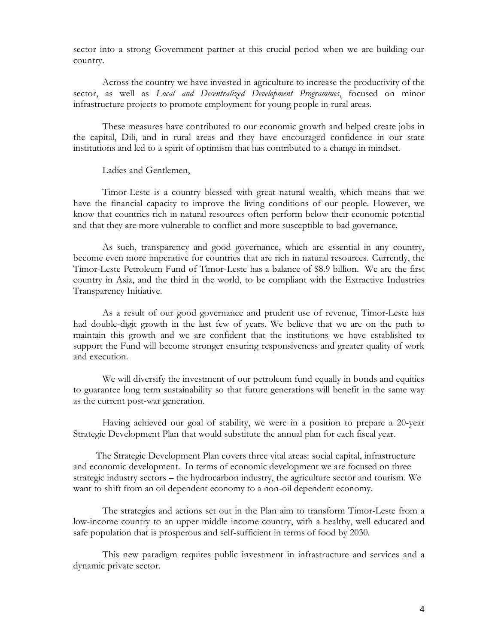sector into a strong Government partner at this crucial period when we are building our country.

Across the country we have invested in agriculture to increase the productivity of the sector, as well as *Local and Decentralized Development Programmes*, focused on minor infrastructure projects to promote employment for young people in rural areas.

These measures have contributed to our economic growth and helped create jobs in the capital, Dili, and in rural areas and they have encouraged confidence in our state institutions and led to a spirit of optimism that has contributed to a change in mindset.

Ladies and Gentlemen,

Timor-Leste is a country blessed with great natural wealth, which means that we have the financial capacity to improve the living conditions of our people. However, we know that countries rich in natural resources often perform below their economic potential and that they are more vulnerable to conflict and more susceptible to bad governance.

As such, transparency and good governance, which are essential in any country, become even more imperative for countries that are rich in natural resources. Currently, the Timor-Leste Petroleum Fund of Timor-Leste has a balance of \$8.9 billion. We are the first country in Asia, and the third in the world, to be compliant with the Extractive Industries Transparency Initiative.

As a result of our good governance and prudent use of revenue, Timor-Leste has had double-digit growth in the last few of years. We believe that we are on the path to maintain this growth and we are confident that the institutions we have established to support the Fund will become stronger ensuring responsiveness and greater quality of work and execution.

We will diversify the investment of our petroleum fund equally in bonds and equities to guarantee long term sustainability so that future generations will benefit in the same way as the current post-war generation.

Having achieved our goal of stability, we were in a position to prepare a 20-year Strategic Development Plan that would substitute the annual plan for each fiscal year.

 The Strategic Development Plan covers three vital areas: social capital, infrastructure and economic development. In terms of economic development we are focused on three strategic industry sectors – the hydrocarbon industry, the agriculture sector and tourism. We want to shift from an oil dependent economy to a non-oil dependent economy.

The strategies and actions set out in the Plan aim to transform Timor-Leste from a low-income country to an upper middle income country, with a healthy, well educated and safe population that is prosperous and self-sufficient in terms of food by 2030.

This new paradigm requires public investment in infrastructure and services and a dynamic private sector.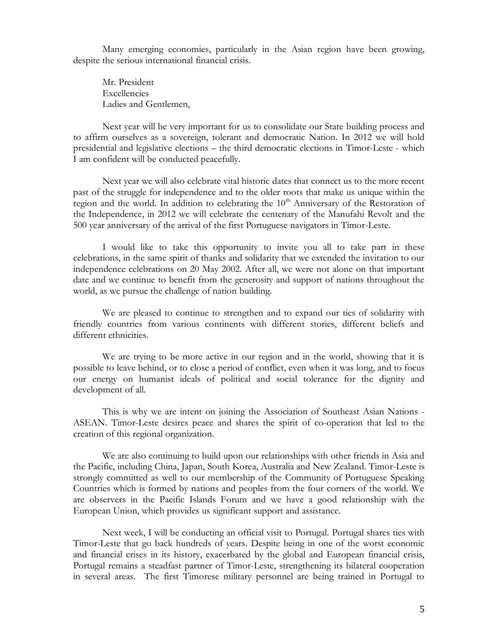Many emerging economies, particularly in the Asian region have been growing, despite the serious international financial crisis.

Mr. President Excellencies Ladies and Gentlemen,

Next year will be very important for us to consolidate our State building process and to affirm ourselves as a sovereign, tolerant and democratic Nation. In 2012 we will hold presidential and legislative elections – the third democratic elections in Timor-Leste - which I am confident will be conducted peacefully.

Next year we will also celebrate vital historic dates that connect us to the more recent past of the struggle for independence and to the older roots that make us unique within the region and the world. In addition to celebrating the  $10<sup>th</sup>$  Anniversary of the Restoration of the Independence, in 2012 we will celebrate the centenary of the Manufahi Revolt and the 500 year anniversary of the arrival of the first Portuguese navigators in Timor-Leste.

I would like to take this opportunity to invite you all to take part in these celebrations, in the same spirit of thanks and solidarity that we extended the invitation to our independence celebrations on 20 May 2002. After all, we were not alone on that important date and we continue to benefit from the generosity and support of nations throughout the world, as we pursue the challenge of nation building.

We are pleased to continue to strengthen and to expand our ties of solidarity with friendly countries from various continents with different stories, different beliefs and different ethnicities.

We are trying to be more active in our region and in the world, showing that it is possible to leave behind, or to close a period of conflict, even when it was long, and to focus our energy on humanist ideals of political and social tolerance for the dignity and development of all.

This is why we are intent on joining the Association of Southeast Asian Nations - ASEAN. Timor-Leste desires peace and shares the spirit of co-operation that led to the creation of this regional organization.

We are also continuing to build upon our relationships with other friends in Asia and the Pacific, including China, Japan, South Korea, Australia and New Zealand. Timor-Leste is strongly committed as well to our membership of the Community of Portuguese Speaking Countries which is formed by nations and peoples from the four corners of the world. We are observers in the Pacific Islands Forum and we have a good relationship with the European Union, which provides us significant support and assistance.

Next week, I will be conducting an official visit to Portugal. Portugal shares ties with Timor-Leste that go back hundreds of years. Despite being in one of the worst economic and financial crises in its history, exacerbated by the global and European financial crisis, Portugal remains a steadfast partner of Timor-Leste, strengthening its bilateral cooperation in several areas. The first Timorese military personnel are being trained in Portugal to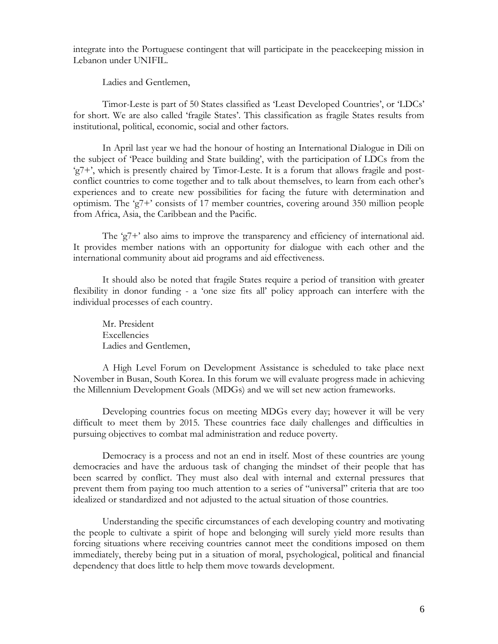integrate into the Portuguese contingent that will participate in the peacekeeping mission in Lebanon under UNIFIL.

Ladies and Gentlemen,

Timor-Leste is part of 50 States classified as "Least Developed Countries", or "LDCs" for short. We are also called 'fragile States'. This classification as fragile States results from institutional, political, economic, social and other factors.

 In April last year we had the honour of hosting an International Dialogue in Dili on the subject of "Peace building and State building", with the participation of LDCs from the  $g^2 + g^2$ , which is presently chaired by Timor-Leste. It is a forum that allows fragile and postconflict countries to come together and to talk about themselves, to learn from each other's experiences and to create new possibilities for facing the future with determination and optimism. The "g7+" consists of 17 member countries, covering around 350 million people from Africa, Asia, the Caribbean and the Pacific.

The 'g7+' also aims to improve the transparency and efficiency of international aid. It provides member nations with an opportunity for dialogue with each other and the international community about aid programs and aid effectiveness.

It should also be noted that fragile States require a period of transition with greater flexibility in donor funding - a "one size fits all" policy approach can interfere with the individual processes of each country.

Mr. President Excellencies Ladies and Gentlemen,

A High Level Forum on Development Assistance is scheduled to take place next November in Busan, South Korea. In this forum we will evaluate progress made in achieving the Millennium Development Goals (MDGs) and we will set new action frameworks.

Developing countries focus on meeting MDGs every day; however it will be very difficult to meet them by 2015. These countries face daily challenges and difficulties in pursuing objectives to combat mal administration and reduce poverty.

Democracy is a process and not an end in itself. Most of these countries are young democracies and have the arduous task of changing the mindset of their people that has been scarred by conflict. They must also deal with internal and external pressures that prevent them from paying too much attention to a series of "universal" criteria that are too idealized or standardized and not adjusted to the actual situation of those countries.

Understanding the specific circumstances of each developing country and motivating the people to cultivate a spirit of hope and belonging will surely yield more results than forcing situations where receiving countries cannot meet the conditions imposed on them immediately, thereby being put in a situation of moral, psychological, political and financial dependency that does little to help them move towards development.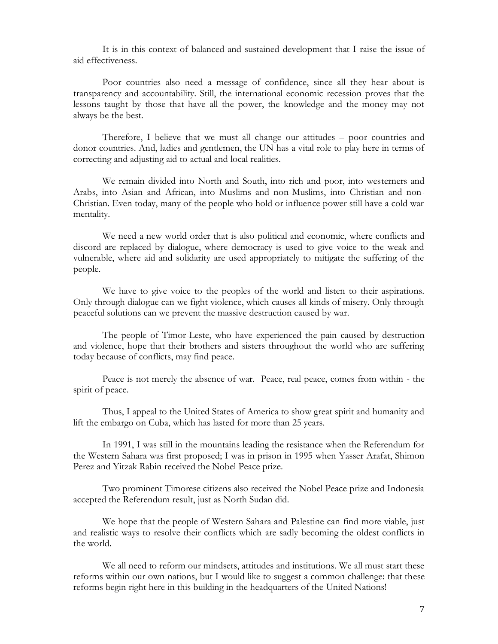It is in this context of balanced and sustained development that I raise the issue of aid effectiveness.

Poor countries also need a message of confidence, since all they hear about is transparency and accountability. Still, the international economic recession proves that the lessons taught by those that have all the power, the knowledge and the money may not always be the best.

Therefore, I believe that we must all change our attitudes – poor countries and donor countries. And, ladies and gentlemen, the UN has a vital role to play here in terms of correcting and adjusting aid to actual and local realities.

We remain divided into North and South, into rich and poor, into westerners and Arabs, into Asian and African, into Muslims and non-Muslims, into Christian and non-Christian. Even today, many of the people who hold or influence power still have a cold war mentality.

We need a new world order that is also political and economic, where conflicts and discord are replaced by dialogue, where democracy is used to give voice to the weak and vulnerable, where aid and solidarity are used appropriately to mitigate the suffering of the people.

We have to give voice to the peoples of the world and listen to their aspirations. Only through dialogue can we fight violence, which causes all kinds of misery. Only through peaceful solutions can we prevent the massive destruction caused by war.

The people of Timor-Leste, who have experienced the pain caused by destruction and violence, hope that their brothers and sisters throughout the world who are suffering today because of conflicts, may find peace.

Peace is not merely the absence of war. Peace, real peace, comes from within - the spirit of peace.

Thus, I appeal to the United States of America to show great spirit and humanity and lift the embargo on Cuba, which has lasted for more than 25 years.

In 1991, I was still in the mountains leading the resistance when the Referendum for the Western Sahara was first proposed; I was in prison in 1995 when Yasser Arafat, Shimon Perez and Yitzak Rabin received the Nobel Peace prize.

Two prominent Timorese citizens also received the Nobel Peace prize and Indonesia accepted the Referendum result, just as North Sudan did.

We hope that the people of Western Sahara and Palestine can find more viable, just and realistic ways to resolve their conflicts which are sadly becoming the oldest conflicts in the world.

We all need to reform our mindsets, attitudes and institutions. We all must start these reforms within our own nations, but I would like to suggest a common challenge: that these reforms begin right here in this building in the headquarters of the United Nations!